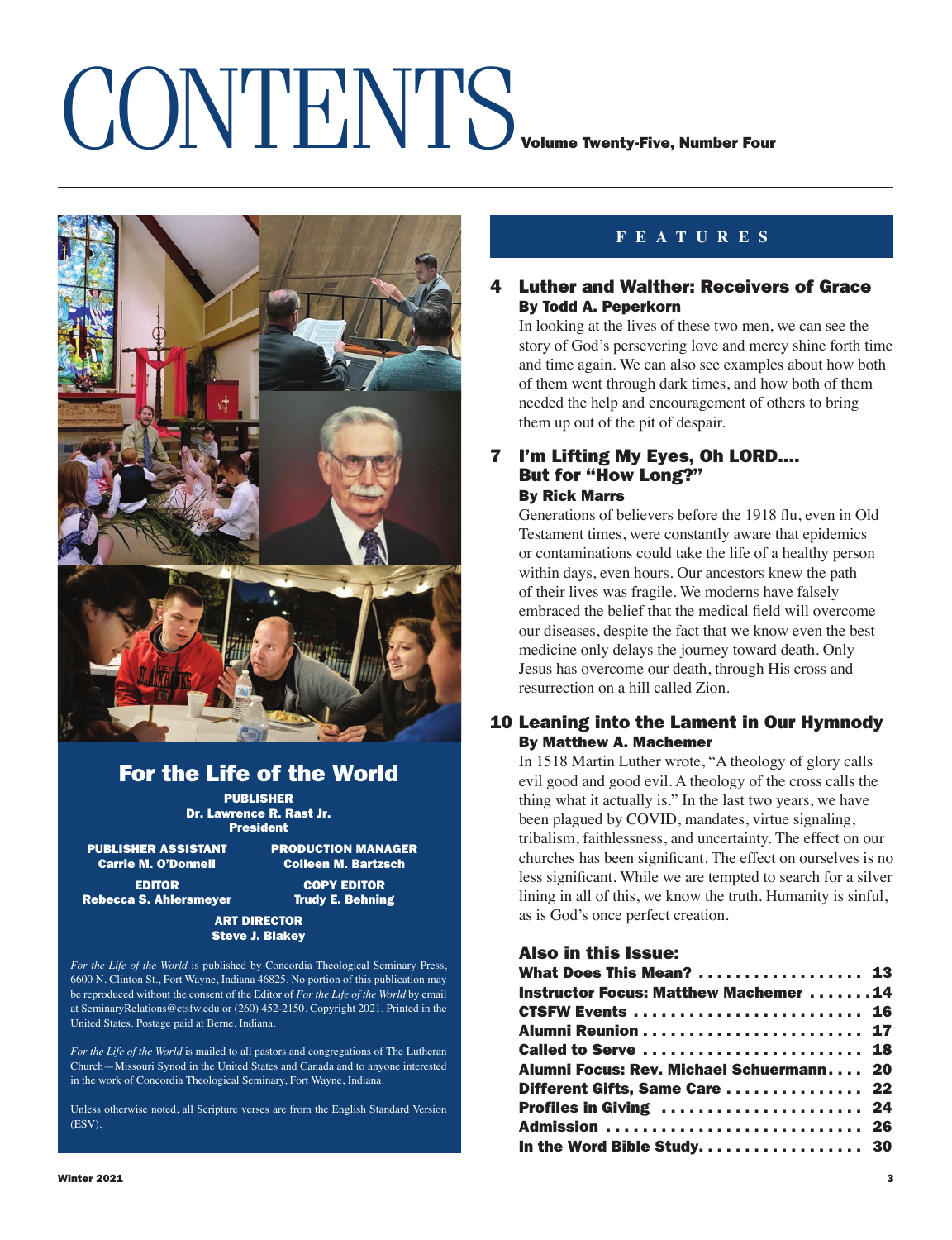## CONTENTS<sub>Volume Twenty-Five, Number Four</sub>



## For the Life of the World

PUBLISHER Dr. Lawrence R. Rast Jr. President

PUBLISHER ASSISTANT PRODUCTION MANAGER<br>Carrie M. O'Donnell Colleen M. Bartzsch

**Colleen M. Bartzsch** EDITOR COPY EDITOR

Rebecca S. Ahlersmeyer Trudy E. Behning

### ART DIRECTOR Steve J. Blakey

*For the Life of the World* is published by Concordia Theological Seminary Press, 6600 N. Clinton St., Fort Wayne, Indiana 46825. No portion of this publication may be reproduced without the consent of the Editor of *For the Life of the World* by email at SeminaryRelations@ctsfw.edu or (260) 452-2150. Copyright 2021. Printed in the United States. Postage paid at Berne, Indiana.

*For the Life of the World* is mailed to all pastors and congregations of The Lutheran Church—Missouri Synod in the United States and Canada and to anyone interested in the work of Concordia Theological Seminary, Fort Wayne, Indiana.

Unless otherwise noted, all Scripture verses are from the English Standard Version (ESV).

### **FEATURES**

### 4 Luther and Walther: Receivers of Grace By Todd A. Peperkorn

In looking at the lives of these two men, we can see the story of God's persevering love and mercy shine forth time and time again. We can also see examples about how both of them went through dark times, and how both of them needed the help and encouragement of others to bring them up out of the pit of despair.

### 7 I'm Lifting My Eyes, Oh LORD.... But for "How Long?" By Rick Marrs

Generations of believers before the 1918 flu, even in Old Testament times, were constantly aware that epidemics or contaminations could take the life of a healthy person within days, even hours. Our ancestors knew the path of their lives was fragile. We moderns have falsely embraced the belief that the medical field will overcome our diseases, despite the fact that we know even the best medicine only delays the journey toward death. Only Jesus has overcome our death, through His cross and resurrection on a hill called Zion.

### 10 Leaning into the Lament in Our Hymnody By Matthew A. Machemer

In 1518 Martin Luther wrote, "A theology of glory calls evil good and good evil. A theology of the cross calls the thing what it actually is." In the last two years, we have been plagued by COVID, mandates, virtue signaling, tribalism, faithlessness, and uncertainty. The effect on our churches has been significant. The effect on ourselves is no less significant. While we are tempted to search for a silver lining in all of this, we know the truth. Humanity is sinful, as is God's once perfect creation.

Also in this Issue:

| What Does This Mean?  13                     |  |
|----------------------------------------------|--|
| <b>Instructor Focus: Matthew Machemer 14</b> |  |
| <b>CTSFW Events  16</b>                      |  |
|                                              |  |
| <b>Called to Serve  18</b>                   |  |
| Alumni Focus: Rev. Michael Schuermann 20     |  |
| Different Gifts, Same Care  22               |  |
| Profiles in Giving  24                       |  |
| Admission  26                                |  |
| In the Word Bible Study 30                   |  |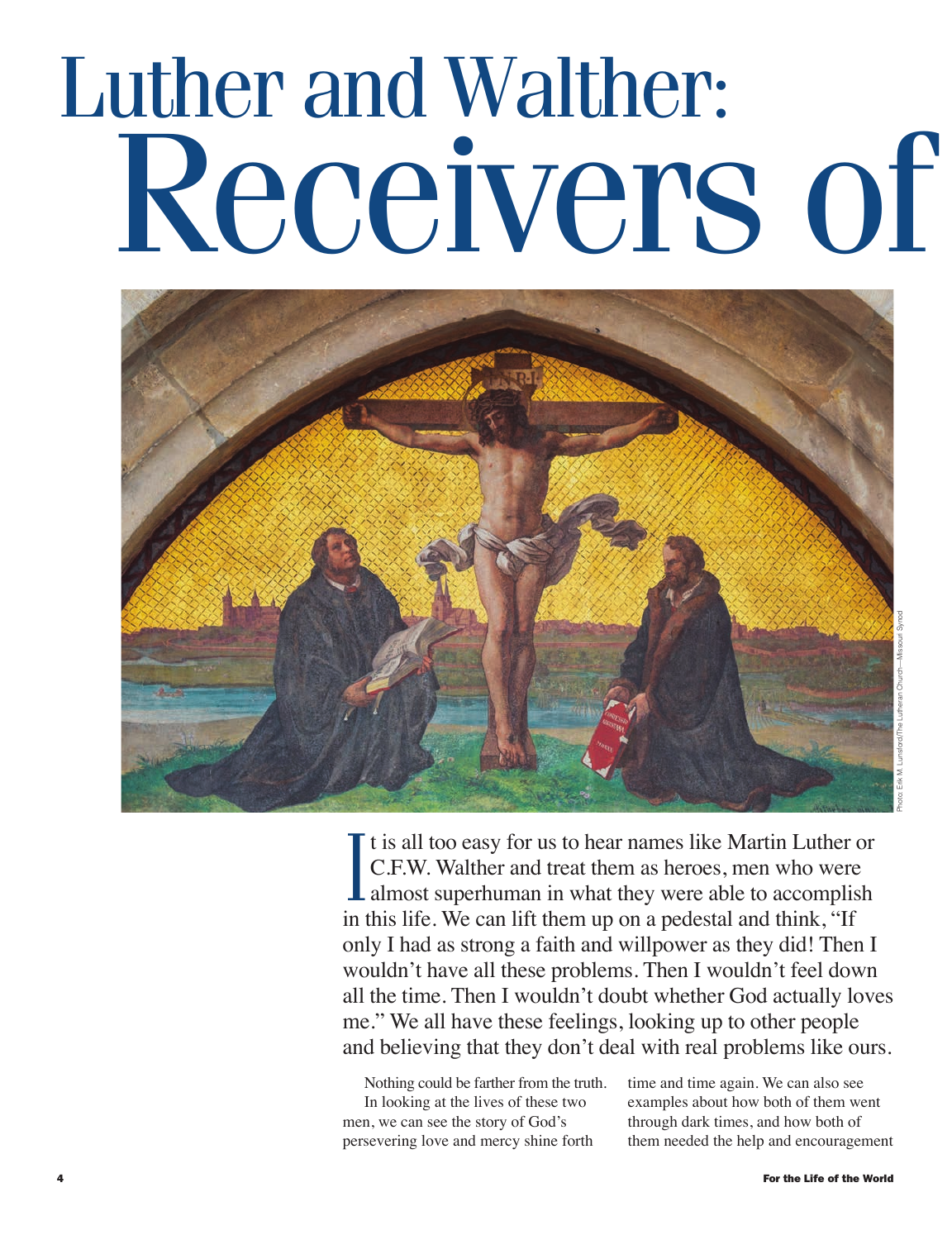## Luther and Walther: Receivers of



Photo: Erik M. Lunsford/The Lutheran Church—Missouri Synod

It is all too easy for us to hear names like Martin Luther or<br>C.F.W. Walther and treat them as heroes, men who were<br>almost superhuman in what they were able to accomplish<br>in this life. We see lift them up on a podestal and t is all too easy for us to hear names like Martin Luther or C.F.W. Walther and treat them as heroes, men who were in this life. We can lift them up on a pedestal and think, "If only I had as strong a faith and willpower as they did! Then I wouldn't have all these problems. Then I wouldn't feel down all the time. Then I wouldn't doubt whether God actually loves me." We all have these feelings, looking up to other people and believing that they don't deal with real problems like ours.

Nothing could be farther from the truth. In looking at the lives of these two men, we can see the story of God's persevering love and mercy shine forth

time and time again. We can also see examples about how both of them went through dark times, and how both of them needed the help and encouragement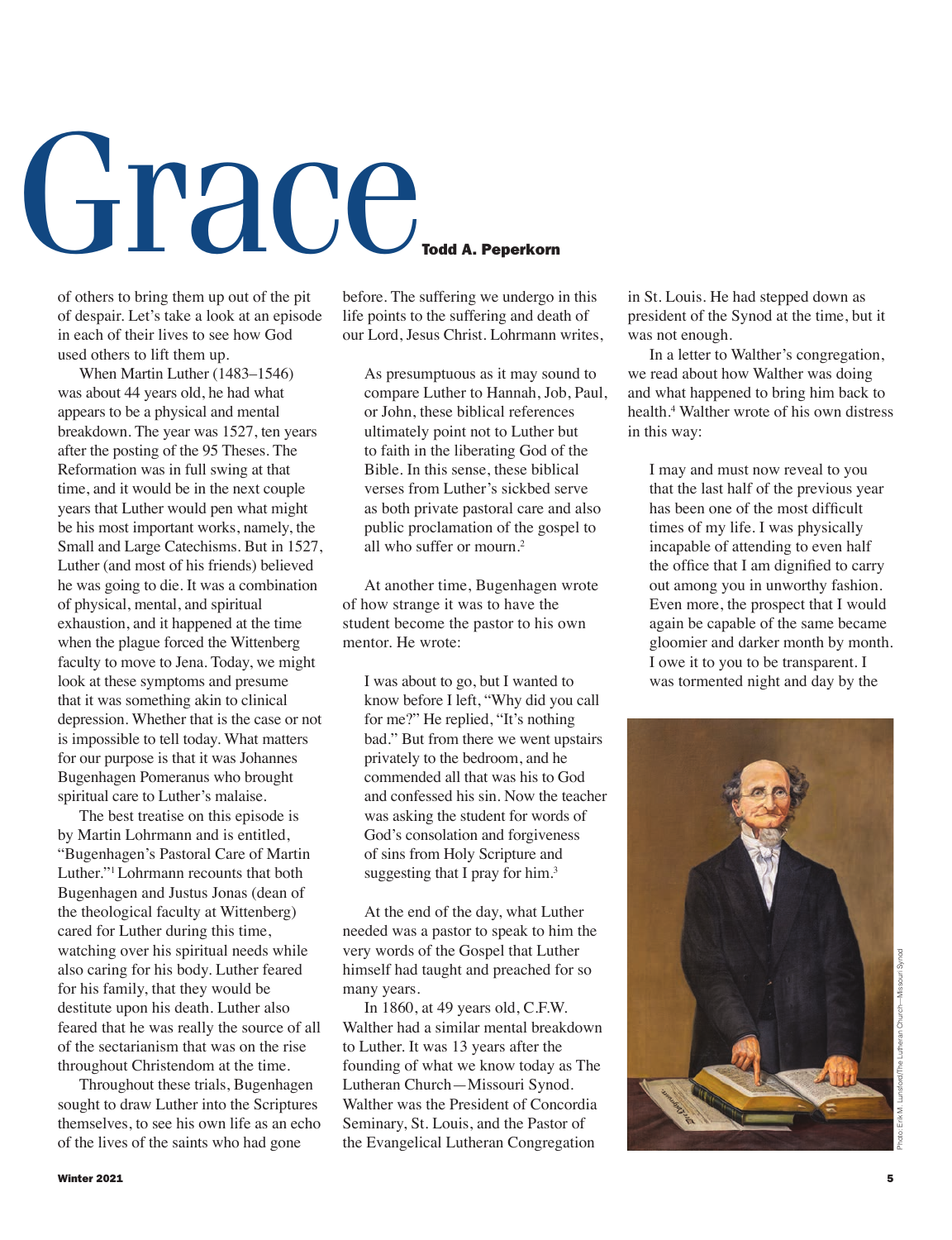# $GRedC$

of others to bring them up out of the pit of despair. Let's take a look at an episode in each of their lives to see how God used others to lift them up.

When Martin Luther (1483–1546) was about 44 years old, he had what appears to be a physical and mental breakdown. The year was 1527, ten years after the posting of the 95 Theses. The Reformation was in full swing at that time, and it would be in the next couple years that Luther would pen what might be his most important works, namely, the Small and Large Catechisms. But in 1527, Luther (and most of his friends) believed he was going to die. It was a combination of physical, mental, and spiritual exhaustion, and it happened at the time when the plague forced the Wittenberg faculty to move to Jena. Today, we might look at these symptoms and presume that it was something akin to clinical depression. Whether that is the case or not is impossible to tell today. What matters for our purpose is that it was Johannes Bugenhagen Pomeranus who brought spiritual care to Luther's malaise.

The best treatise on this episode is by Martin Lohrmann and is entitled, "Bugenhagen's Pastoral Care of Martin Luther."1 Lohrmann recounts that both Bugenhagen and Justus Jonas (dean of the theological faculty at Wittenberg) cared for Luther during this time, watching over his spiritual needs while also caring for his body. Luther feared for his family, that they would be destitute upon his death. Luther also feared that he was really the source of all of the sectarianism that was on the rise throughout Christendom at the time.

Throughout these trials, Bugenhagen sought to draw Luther into the Scriptures themselves, to see his own life as an echo of the lives of the saints who had gone

before. The suffering we undergo in this life points to the suffering and death of our Lord, Jesus Christ. Lohrmann writes

As presumptuous as it may sound to compare Luther to Hannah, Job, Paul, or John, these biblical references ultimately point not to Luther but to faith in the liberating God of the Bible. In this sense, these biblical verses from Luther's sickbed serve as both private pastoral care and also public proclamation of the gospel to all who suffer or mourn.2

At another time, Bugenhagen wrote of how strange it was to have the student become the pastor to his own mentor. He wrote:

I was about to go, but I wanted to know before I left, "Why did you call for me?" He replied, "It's nothing bad." But from there we went upstairs privately to the bedroom, and he commended all that was his to God and confessed his sin. Now the teacher was asking the student for words of God's consolation and forgiveness of sins from Holy Scripture and suggesting that I pray for him.<sup>3</sup>

At the end of the day, what Luther needed was a pastor to speak to him the very words of the Gospel that Luther himself had taught and preached for so many years.

In 1860, at 49 years old, C.F.W. Walther had a similar mental breakdown to Luther. It was 13 years after the founding of what we know today as The Lutheran Church—Missouri Synod. Walther was the President of Concordia Seminary, St. Louis, and the Pastor of the Evangelical Lutheran Congregation

in St. Louis. He had stepped down as president of the Synod at the time, but it was not enough.

In a letter to Walther's congregation, we read about how Walther was doing and what happened to bring him back to health.4 Walther wrote of his own distress in this way:

I may and must now reveal to you that the last half of the previous year has been one of the most difficult times of my life. I was physically incapable of attending to even half the office that I am dignified to carry out among you in unworthy fashion. Even more, the prospect that I would again be capable of the same became gloomier and darker month by month. I owe it to you to be transparent. I was tormented night and day by the